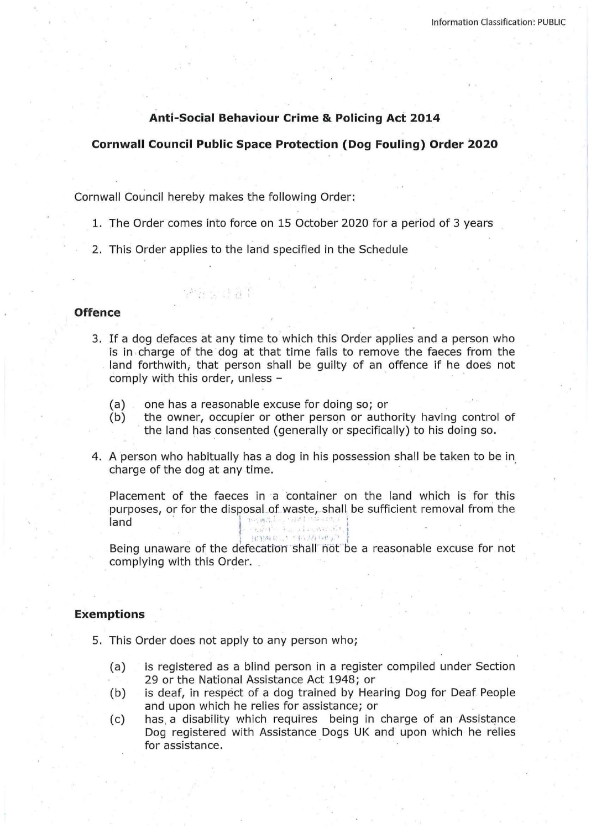# **Anti-Social Behaviour Crime & Policing Act 2014**

## **Cornwall Council Public Space Protection (Dog Fouling) Order 2020**

Cornwall Council hereby makes the following Order:

단원 승규 경제

- 1. The Order comes into force on 15 October 2020 for a period of 3 years
- 2. This Order applies to the land specified in the Schedule

# **Offence**

- 3. If a dog defaces at any time to which this Order applies and a person who is in charge of the dog at that time fails to remove the faeces from the land forthwith; that person shall be guilty of an offence if he does not comply with this order, unless -
	- (a) one has a reasonable excuse for doing so; or
	- (b) the owner, occupier or other person or authority having control of the land has consented (generally or specifically) to his doing so.
- 4. A person who habitually has a dog in his possession shall be taken to be in charge of the dog at any time.

Placement of the faeces in a 'container on the land which is for this purposes, or for the disposal of waste, shall be sufficient removal from the land · j · -~ ·' · ; • ' ,• I I I

I !f"l .1( ( ' ' '· d' ·' \ i I

Being unaware of the defecation shall not be a reasonable excuse for not complying with this Order.

# **Exemptions**

- 5. This Order does not apply to any person who;
	- (a) is registered as a blind person in a register compiled under Section 29 or the National Assistance Act 1948; or
	- (b) is deaf, in respect of a dog trained by Hearing Dog for Deaf People and upon which he relies for assistance; or
	- (c) has, a disability which requires being in charge of an Assistance Dog registered with Assistance Dogs UK and upon which he relies for assistance.